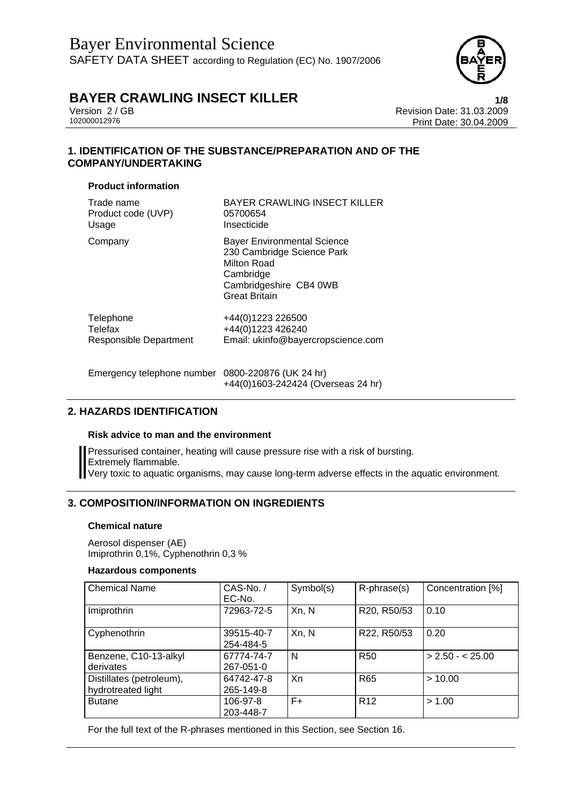

Version 2 / GB Revision Date: 31.03.2009 Print Date: 30.04.2009

# **1. IDENTIFICATION OF THE SUBSTANCE/PREPARATION AND OF THE COMPANY/UNDERTAKING**

## **Product information**

| Trade name                    | <b>BAYER CRAWLING INSECT KILLER</b>                                                                                                            |
|-------------------------------|------------------------------------------------------------------------------------------------------------------------------------------------|
| Product code (UVP)            | 05700654                                                                                                                                       |
| Usage                         | Insecticide                                                                                                                                    |
| Company                       | <b>Bayer Environmental Science</b><br>230 Cambridge Science Park<br>Milton Road<br>Cambridge<br>Cambridgeshire CB4 0WB<br><b>Great Britain</b> |
| Telephone                     | +44(0)1223 226500                                                                                                                              |
| Telefax                       | +44(0)1223 426240                                                                                                                              |
| <b>Responsible Department</b> | Email: ukinfo@bayercropscience.com                                                                                                             |

Emergency telephone number 0800-220876 (UK 24 hr) +44(0)1603-242424 (Overseas 24 hr)

# **2. HAZARDS IDENTIFICATION**

## **Risk advice to man and the environment**

Pressurised container, heating will cause pressure rise with a risk of bursting. Extremely flammable. Very toxic to aquatic organisms, may cause long-term adverse effects in the aquatic environment.

# **3. COMPOSITION/INFORMATION ON INGREDIENTS**

## **Chemical nature**

Aerosol dispenser (AE) Imiprothrin 0,1%, Cyphenothrin 0,3 %

## **Hazardous components**

| <b>Chemical Name</b>                           | $CAS-No.$ /<br>EC-No.   | Symbol(s) | R-phrase(s)     | Concentration [%] |
|------------------------------------------------|-------------------------|-----------|-----------------|-------------------|
| <i>Imiprothrin</i>                             | 72963-72-5              | Xn, N     | R20, R50/53     | 0.10              |
| Cyphenothrin                                   | 39515-40-7<br>254-484-5 | Xn, N     | R22, R50/53     | 0.20              |
| Benzene, C10-13-alkyl<br>derivates             | 67774-74-7<br>267-051-0 | N         | <b>R50</b>      | $> 2.50 - 25.00$  |
| Distillates (petroleum),<br>hydrotreated light | 64742-47-8<br>265-149-8 | Xn        | <b>R65</b>      | >10.00            |
| <b>Butane</b>                                  | 106-97-8<br>203-448-7   | $F+$      | R <sub>12</sub> | > 1.00            |

For the full text of the R-phrases mentioned in this Section, see Section 16.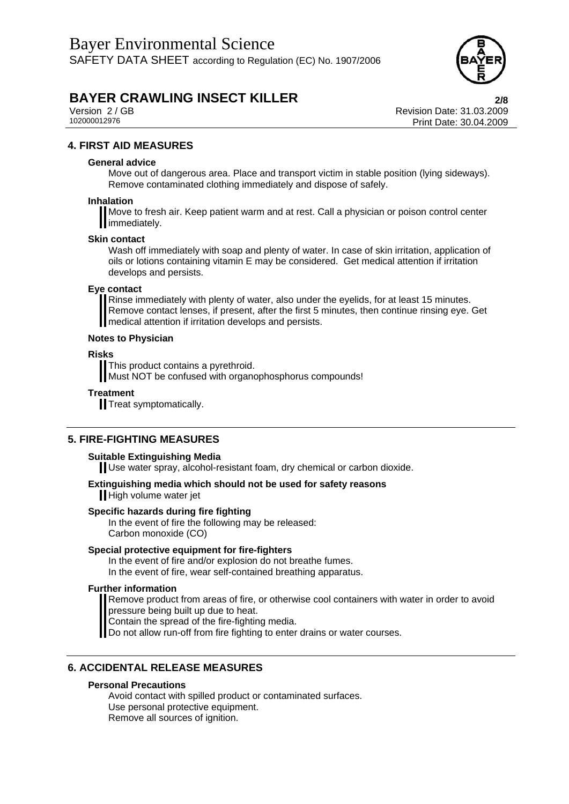

Version 2 / GB Revision Date: 31.03.2009 Print Date: 30.04.2009

# **4. FIRST AID MEASURES**

### **General advice**

Move out of dangerous area. Place and transport victim in stable position (lying sideways). Remove contaminated clothing immediately and dispose of safely.

### **Inhalation**

Move to fresh air. Keep patient warm and at rest. Call a physician or poison control center immediately.

### **Skin contact**

Wash off immediately with soap and plenty of water. In case of skin irritation, application of oils or lotions containing vitamin E may be considered. Get medical attention if irritation develops and persists.

## **Eye contact**

Rinse immediately with plenty of water, also under the eyelids, for at least 15 minutes. Remove contact lenses, if present, after the first 5 minutes, then continue rinsing eye. Get medical attention if irritation develops and persists.

### **Notes to Physician**

### **Risks**

This product contains a pyrethroid.

Must NOT be confused with organophosphorus compounds!

### **Treatment**

**Treat symptomatically.** 

## **5. FIRE-FIGHTING MEASURES**

#### **Suitable Extinguishing Media**

Use water spray, alcohol-resistant foam, dry chemical or carbon dioxide.

## **Extinguishing media which should not be used for safety reasons**

High volume water jet

#### **Specific hazards during fire fighting**

In the event of fire the following may be released: Carbon monoxide (CO)

## **Special protective equipment for fire-fighters**

In the event of fire and/or explosion do not breathe fumes.

In the event of fire, wear self-contained breathing apparatus.

#### **Further information**

Remove product from areas of fire, or otherwise cool containers with water in order to avoid pressure being built up due to heat.

Contain the spread of the fire-fighting media.

Do not allow run-off from fire fighting to enter drains or water courses.

# **6. ACCIDENTAL RELEASE MEASURES**

#### **Personal Precautions**

Avoid contact with spilled product or contaminated surfaces. Use personal protective equipment. Remove all sources of ignition.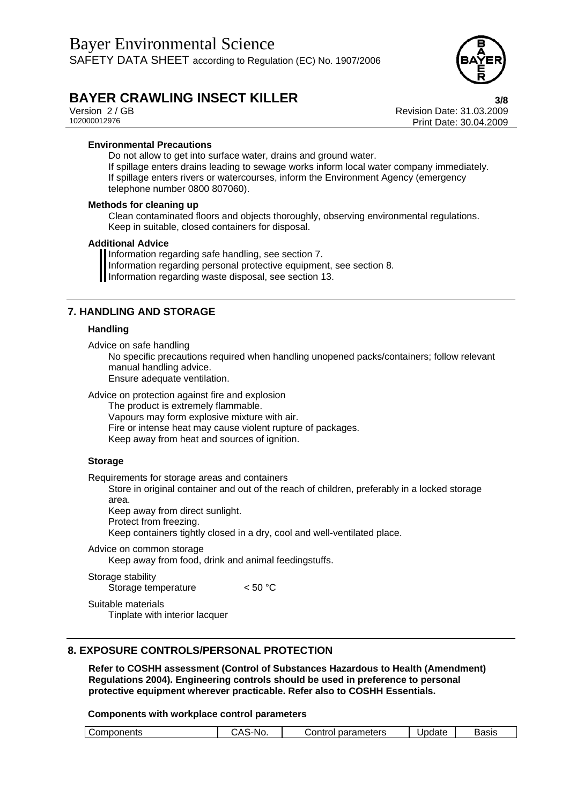

Version 2 / GB<br>
102000012976<br>
102000012976<br>
Print Date: 30.04.2009 Print Date: 30.04.2009

### **Environmental Precautions**

Do not allow to get into surface water, drains and ground water. If spillage enters drains leading to sewage works inform local water company immediately. If spillage enters rivers or watercourses, inform the Environment Agency (emergency telephone number 0800 807060).

#### **Methods for cleaning up**

Clean contaminated floors and objects thoroughly, observing environmental regulations. Keep in suitable, closed containers for disposal.

#### **Additional Advice**

Information regarding safe handling, see section 7. Information regarding personal protective equipment, see section 8. Information regarding waste disposal, see section 13.

## **7. HANDLING AND STORAGE**

#### **Handling**

Advice on safe handling

No specific precautions required when handling unopened packs/containers; follow relevant manual handling advice.

Ensure adequate ventilation.

Advice on protection against fire and explosion

The product is extremely flammable.

Vapours may form explosive mixture with air.

Fire or intense heat may cause violent rupture of packages.

Keep away from heat and sources of ignition.

#### **Storage**

Requirements for storage areas and containers

Store in original container and out of the reach of children, preferably in a locked storage area.

Keep away from direct sunlight.

Protect from freezing.

Keep containers tightly closed in a dry, cool and well-ventilated place.

#### Advice on common storage

Keep away from food, drink and animal feedingstuffs.

Storage stability Storage temperature  $< 50 °C$ 

Suitable materials Tinplate with interior lacquer

## **8. EXPOSURE CONTROLS/PERSONAL PROTECTION**

**Refer to COSHH assessment (Control of Substances Hazardous to Health (Amendment) Regulations 2004). Engineering controls should be used in preference to personal protective equipment wherever practicable. Refer also to COSHH Essentials.** 

#### **Components with workplace control parameters**

| $\mathbf{r}$<br>meters<br>Basıs<br>pdate<br>$\sim$ $\sim$ $\sim$ $\sim$ $\sim$<br>------<br>-----<br>NO.<br>٦r<br>эr<br>onents<br>.<br>ualal<br>ິ |  |  |  |
|---------------------------------------------------------------------------------------------------------------------------------------------------|--|--|--|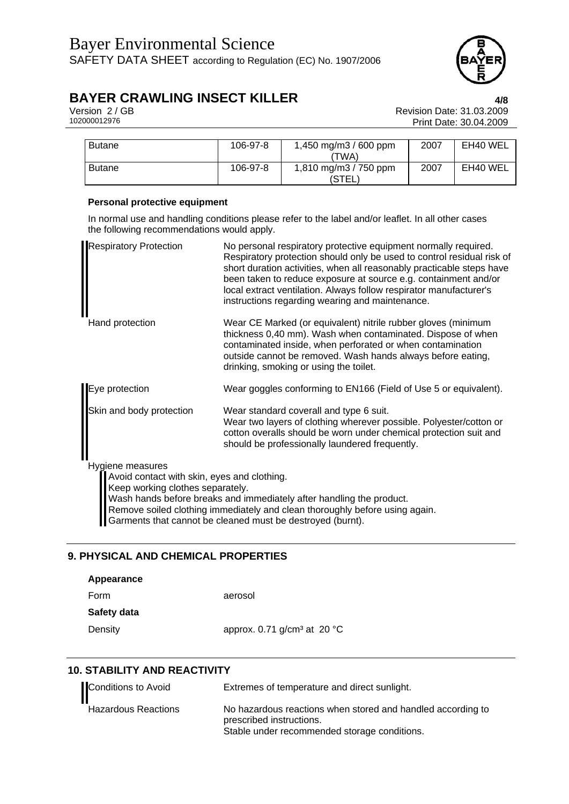

Version 2 / GB Revision Date: 31.03.2009 Print Date: 30.04.2009

| <b>Butane</b> | 106-97-8 | 1,450 mg/m3 / 600 ppm | 2007 | EH40 WEL |
|---------------|----------|-----------------------|------|----------|
|               |          | (TWA)                 |      |          |
| <b>Butane</b> | 106-97-8 | 1,810 mg/m3 / 750 ppm | 2007 | EH40 WEL |
|               |          | (STEL                 |      |          |

## **Personal protective equipment**

In normal use and handling conditions please refer to the label and/or leaflet. In all other cases the following recommendations would apply.

| <b>Respiratory Protection</b>                                                                       | No personal respiratory protective equipment normally required.<br>Respiratory protection should only be used to control residual risk of<br>short duration activities, when all reasonably practicable steps have<br>been taken to reduce exposure at source e.g. containment and/or<br>local extract ventilation. Always follow respirator manufacturer's<br>instructions regarding wearing and maintenance. |
|-----------------------------------------------------------------------------------------------------|----------------------------------------------------------------------------------------------------------------------------------------------------------------------------------------------------------------------------------------------------------------------------------------------------------------------------------------------------------------------------------------------------------------|
| Hand protection                                                                                     | Wear CE Marked (or equivalent) nitrile rubber gloves (minimum<br>thickness 0,40 mm). Wash when contaminated. Dispose of when<br>contaminated inside, when perforated or when contamination<br>outside cannot be removed. Wash hands always before eating,<br>drinking, smoking or using the toilet.                                                                                                            |
| Eye protection                                                                                      | Wear goggles conforming to EN166 (Field of Use 5 or equivalent).                                                                                                                                                                                                                                                                                                                                               |
| Skin and body protection                                                                            | Wear standard coverall and type 6 suit.<br>Wear two layers of clothing wherever possible. Polyester/cotton or<br>cotton overalls should be worn under chemical protection suit and<br>should be professionally laundered frequently.                                                                                                                                                                           |
| Hygiene measures<br>Avoid contact with skin, eyes and clothing.<br>Keep working clothes separately. | Wash hands before breaks and immediately after handling the product.                                                                                                                                                                                                                                                                                                                                           |

Remove soiled clothing immediately and clean thoroughly before using again.

Garments that cannot be cleaned must be destroyed (burnt).

# **9. PHYSICAL AND CHEMICAL PROPERTIES**

| Appearance  |                                                   |
|-------------|---------------------------------------------------|
| Form        | aerosol                                           |
| Safety data |                                                   |
| Density     | approx. 0.71 g/cm <sup>3</sup> at 20 $^{\circ}$ C |

# **10. STABILITY AND REACTIVITY**

| Conditions to Avoid        | Extremes of temperature and direct sunlight.                                                                                            |
|----------------------------|-----------------------------------------------------------------------------------------------------------------------------------------|
| <b>Hazardous Reactions</b> | No hazardous reactions when stored and handled according to<br>prescribed instructions.<br>Stable under recommended storage conditions. |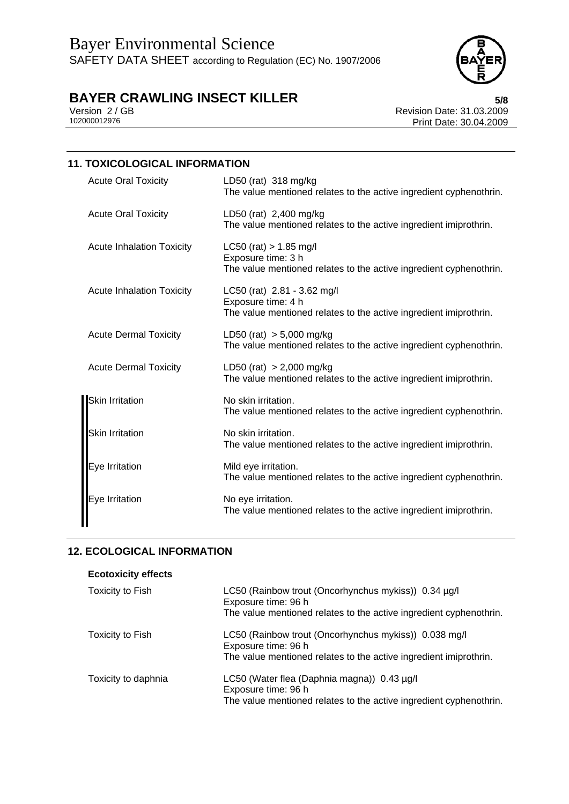

Version 2 / GB<br>102000012976<br>Print Date: 30.04.2009 Print Date: 30.04.2009

| <b>11. TOXICOLOGICAL INFORMATION</b> |                                                                                                                        |  |
|--------------------------------------|------------------------------------------------------------------------------------------------------------------------|--|
| <b>Acute Oral Toxicity</b>           | LD50 (rat) $318 \text{ mg/kg}$<br>The value mentioned relates to the active ingredient cyphenothrin.                   |  |
| <b>Acute Oral Toxicity</b>           | LD50 (rat) 2,400 mg/kg<br>The value mentioned relates to the active ingredient imiprothrin.                            |  |
| <b>Acute Inhalation Toxicity</b>     | $LC50$ (rat) > 1.85 mg/l<br>Exposure time: 3 h<br>The value mentioned relates to the active ingredient cyphenothrin.   |  |
| <b>Acute Inhalation Toxicity</b>     | LC50 (rat) 2.81 - 3.62 mg/l<br>Exposure time: 4 h<br>The value mentioned relates to the active ingredient imiprothrin. |  |
| <b>Acute Dermal Toxicity</b>         | LD50 (rat) $> 5,000$ mg/kg<br>The value mentioned relates to the active ingredient cyphenothrin.                       |  |
| <b>Acute Dermal Toxicity</b>         | LD50 (rat) $> 2,000$ mg/kg<br>The value mentioned relates to the active ingredient imiprothrin.                        |  |
| Skin Irritation                      | No skin irritation.<br>The value mentioned relates to the active ingredient cyphenothrin.                              |  |
| <b>Skin Irritation</b>               | No skin irritation.<br>The value mentioned relates to the active ingredient imiprothrin.                               |  |
| Eye Irritation                       | Mild eye irritation.<br>The value mentioned relates to the active ingredient cyphenothrin.                             |  |
| Eye Irritation                       | No eye irritation.<br>The value mentioned relates to the active ingredient imiprothrin.                                |  |

# **12. ECOLOGICAL INFORMATION**

| <b>Ecotoxicity effects</b> |                                                                              |
|----------------------------|------------------------------------------------------------------------------|
| Toxicity to Fish           | LC50 (Rainbow trout (Oncorhynchus mykiss)) 0.34 µg/l<br>Exposure time: 96 h  |
|                            | The value mentioned relates to the active ingredient cyphenothrin.           |
| Toxicity to Fish           | LC50 (Rainbow trout (Oncorhynchus mykiss)) 0.038 mg/l<br>Exposure time: 96 h |
|                            | The value mentioned relates to the active ingredient imiprothrin.            |
| Toxicity to daphnia        | LC50 (Water flea (Daphnia magna)) 0.43 µg/l<br>Exposure time: 96 h           |
|                            | The value mentioned relates to the active ingredient cyphenothrin.           |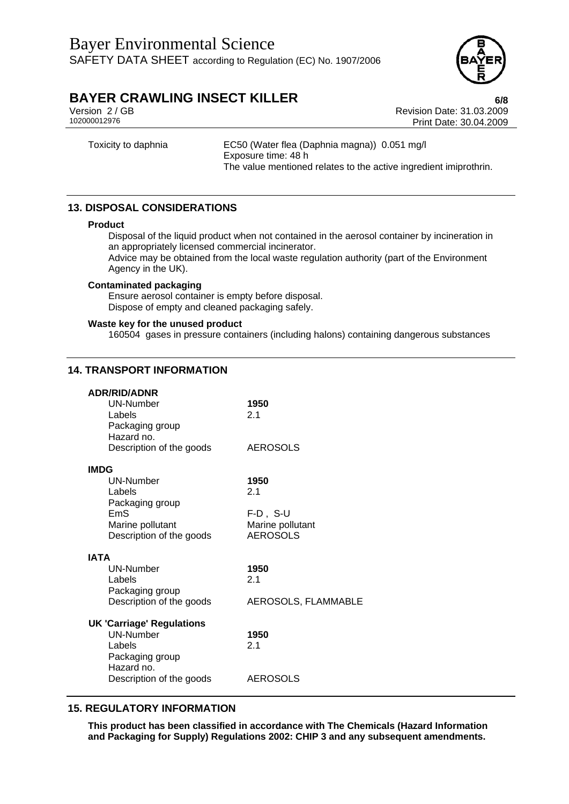

Version 2 / GB Revision Date: 31.03.2009 Print Date: 30.04.2009

Toxicity to daphnia EC50 (Water flea (Daphnia magna)) 0.051 mg/l Exposure time: 48 h The value mentioned relates to the active ingredient imiprothrin.

# **13. DISPOSAL CONSIDERATIONS**

#### **Product**

Disposal of the liquid product when not contained in the aerosol container by incineration in an appropriately licensed commercial incinerator.

Advice may be obtained from the local waste regulation authority (part of the Environment Agency in the UK).

#### **Contaminated packaging**

Ensure aerosol container is empty before disposal. Dispose of empty and cleaned packaging safely.

#### **Waste key for the unused product**

160504 gases in pressure containers (including halons) containing dangerous substances

## **14. TRANSPORT INFORMATION**

| <b>ADR/RID/ADNR</b>              |                     |
|----------------------------------|---------------------|
| <b>UN-Number</b>                 | 1950                |
| Labels                           | 2.1                 |
| Packaging group                  |                     |
| Hazard no.                       |                     |
| Description of the goods         | <b>AEROSOLS</b>     |
|                                  |                     |
| <b>IMDG</b><br>UN-Number         |                     |
| Labels                           | 1950<br>2.1         |
|                                  |                     |
| Packaging group<br>FmS           | $F-D$ , S-U         |
| Marine pollutant                 | Marine pollutant    |
| Description of the goods         | <b>AEROSOLS</b>     |
|                                  |                     |
| <b>IATA</b>                      |                     |
| UN-Number                        | 1950                |
| Labels                           | 2.1                 |
| Packaging group                  |                     |
| Description of the goods         | AEROSOLS, FLAMMABLE |
|                                  |                     |
| <b>UK 'Carriage' Regulations</b> |                     |
| <b>UN-Number</b>                 | 1950                |
| Labels                           | 2.1                 |
| Packaging group                  |                     |
| Hazard no.                       |                     |
| Description of the goods         | <b>AEROSOLS</b>     |
|                                  |                     |

# **15. REGULATORY INFORMATION**

**This product has been classified in accordance with The Chemicals (Hazard Information and Packaging for Supply) Regulations 2002: CHIP 3 and any subsequent amendments.**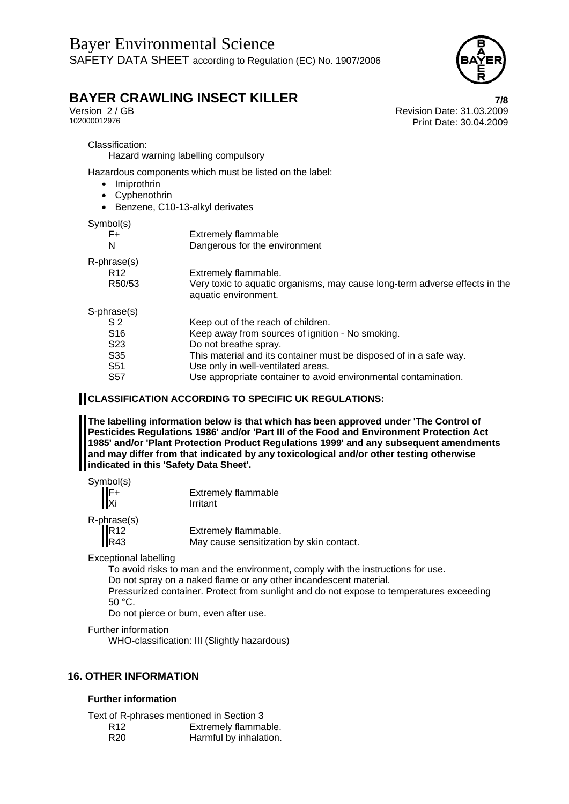

Version 2 / GB Revision Date: 31.03.2009 Print Date: 30.04.2009

#### Classification:

Hazard warning labelling compulsory

Hazardous components which must be listed on the label:

- Imiprothrin
- Cyphenothrin
- Benzene, C10-13-alkyl derivates

## Symbol(s)

| <b>Extremely flammable</b>                                                                          |
|-----------------------------------------------------------------------------------------------------|
| Dangerous for the environment                                                                       |
|                                                                                                     |
| Extremely flammable.                                                                                |
| Very toxic to aquatic organisms, may cause long-term adverse effects in the<br>aquatic environment. |
|                                                                                                     |
| Keep out of the reach of children.                                                                  |
| Keep away from sources of ignition - No smoking.                                                    |
| Do not breathe spray.                                                                               |
| This material and its container must be disposed of in a safe way.                                  |
| Use only in well-ventilated areas.                                                                  |
| Use appropriate container to avoid environmental contamination.                                     |
|                                                                                                     |

## **CLASSIFICATION ACCORDING TO SPECIFIC UK REGULATIONS:**

**The labelling information below is that which has been approved under 'The Control of Pesticides Regulations 1986' and/or 'Part III of the Food and Environment Protection Act 1985' and/or 'Plant Protection Product Regulations 1999' and any subsequent amendments and may differ from that indicated by any toxicological and/or other testing otherwise indicated in this 'Safety Data Sheet'.** 

| Symbol(s)                | <b>Extremely flammable</b> |
|--------------------------|----------------------------|
| $\parallel$ F+<br>Xi     | Irritant                   |
| R-phrase(s)<br>$II_{D4}$ | Eytramakı flammabla        |

**R12** Extremely flammable.<br>R43 May cause sensitization May cause sensitization by skin contact.

Exceptional labelling

To avoid risks to man and the environment, comply with the instructions for use.

Do not spray on a naked flame or any other incandescent material.

Pressurized container. Protect from sunlight and do not expose to temperatures exceeding 50 °C.

Do not pierce or burn, even after use.

Further information

WHO-classification: III (Slightly hazardous)

# **16. OTHER INFORMATION**

## **Further information**

Text of R-phrases mentioned in Section 3

R12 Extremely flammable.<br>R20 Harmful by inhalation. Harmful by inhalation.